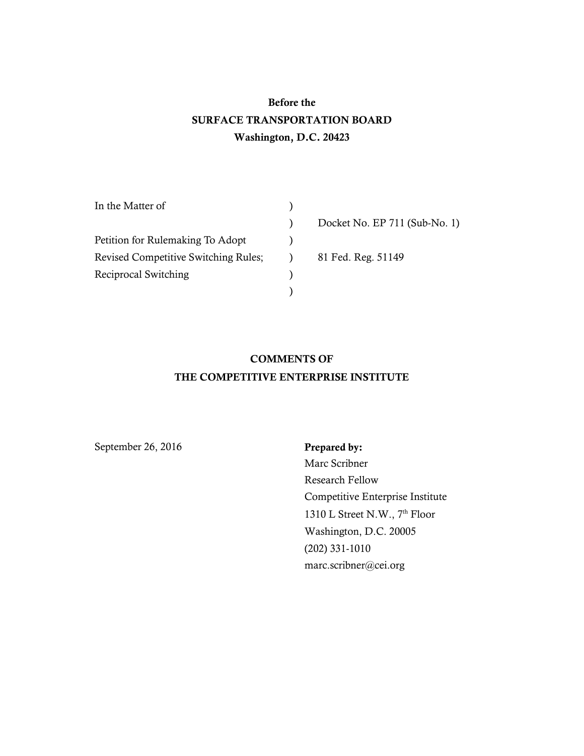# Before the SURFACE TRANSPORTATION BOARD Washington, D.C. 20423

| In the Matter of                            |                               |
|---------------------------------------------|-------------------------------|
|                                             | Docket No. EP 711 (Sub-No. 1) |
| Petition for Rulemaking To Adopt            |                               |
| <b>Revised Competitive Switching Rules;</b> | 81 Fed. Reg. 51149            |
| Reciprocal Switching                        |                               |
|                                             |                               |

## COMMENTS OF THE COMPETITIVE ENTERPRISE INSTITUTE

September 26, 2016 Prepared by:

Marc Scribner Research Fellow Competitive Enterprise Institute 1310 L Street N.W., 7<sup>th</sup> Floor Washington, D.C. 20005 (202) 331-1010 marc.scribner@cei.org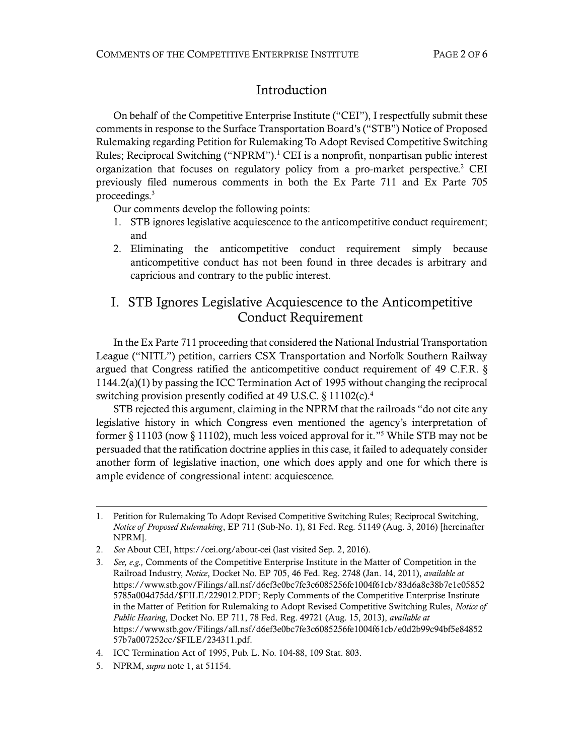### <span id="page-1-0"></span>Introduction

On behalf of the Competitive Enterprise Institute ("CEI"), I respectfully submit these comments in response to the Surface Transportation Board's ("STB") Notice of Proposed Rulemaking regarding Petition for Rulemaking To Adopt Revised Competitive Switching Rules; Reciprocal Switching ("NPRM"). <sup>1</sup> CEI is a nonprofit, nonpartisan public interest organization that focuses on regulatory policy from a pro-market perspective.<sup>2</sup> CEI previously filed numerous comments in both the Ex Parte 711 and Ex Parte 705 proceedings. 3

Our comments develop the following points:

- 1. STB ignores legislative acquiescence to the anticompetitive conduct requirement; and
- 2. Eliminating the anticompetitive conduct requirement simply because anticompetitive conduct has not been found in three decades is arbitrary and capricious and contrary to the public interest.

## I. STB Ignores Legislative Acquiescence to the Anticompetitive Conduct Requirement

In the Ex Parte 711 proceeding that considered the National Industrial Transportation League ("NITL") petition, carriers CSX Transportation and Norfolk Southern Railway argued that Congress ratified the anticompetitive conduct requirement of 49 C.F.R. § 1144.2(a)(1) by passing the ICC Termination Act of 1995 without changing the reciprocal switching provision presently codified at 49 U.S.C. § 11102(c). 4

STB rejected this argument, claiming in the NPRM that the railroads "do not cite any legislative history in which Congress even mentioned the agency's interpretation of former  $\S 11103$  (now  $\S 11102$ ), much less voiced approval for it."<sup>5</sup> While STB may not be persuaded that the ratification doctrine applies in this case, it failed to adequately consider another form of legislative inaction, one which does apply and one for which there is ample evidence of congressional intent: acquiescence.

-

<sup>1.</sup> Petition for Rulemaking To Adopt Revised Competitive Switching Rules; Reciprocal Switching, *Notice of Proposed Rulemaking*, EP 711 (Sub-No. 1), 81 Fed. Reg. 51149 (Aug. 3, 2016) [hereinafter NPRM].

<sup>2.</sup> *See* About CEI[, https://cei.org/about-cei](https://cei.org/about-cei) (last visited Sep. 2, 2016).

<sup>3.</sup> *See, e.g.,* Comments of the Competitive Enterprise Institute in the Matter of Competition in the Railroad Industry, *Notice*, Docket No. EP 705, 46 Fed. Reg. 2748 (Jan. 14, 2011), *available at* [https://www.stb.gov/Filings/all.nsf/d6ef3e0bc7fe3c6085256fe1004f61cb/83d6a8e38b7e1e05852](https://www.stb.gov/Filings/all.nsf/d6ef3e0bc7fe3c6085256fe1004f61cb/83d6a8e38b7e1e058525785a004d75dd/$FILE/229012.PDF) [5785a004d75dd/\\$FILE/229012.PDF;](https://www.stb.gov/Filings/all.nsf/d6ef3e0bc7fe3c6085256fe1004f61cb/83d6a8e38b7e1e058525785a004d75dd/$FILE/229012.PDF) Reply Comments of the Competitive Enterprise Institute in the Matter of Petition for Rulemaking to Adopt Revised Competitive Switching Rules, *Notice of Public Hearing*, Docket No. EP 711, 78 Fed. Reg. 49721 (Aug. 15, 2013), *available at* [https://www.stb.gov/Filings/all.nsf/d6ef3e0bc7fe3c6085256fe1004f61cb/e0d2b99c94bf5e84852](https://www.stb.gov/Filings/all.nsf/d6ef3e0bc7fe3c6085256fe1004f61cb/e0d2b99c94bf5e8485257b7a007252cc/$FILE/234311.pdf) [57b7a007252cc/\\$FILE/234311.pdf.](https://www.stb.gov/Filings/all.nsf/d6ef3e0bc7fe3c6085256fe1004f61cb/e0d2b99c94bf5e8485257b7a007252cc/$FILE/234311.pdf)

<sup>4.</sup> ICC Termination Act of 1995, Pub. L. No. 104-88, 109 Stat. 803.

<sup>5.</sup> NPRM, *supra* not[e 1,](#page-1-0) at 51154.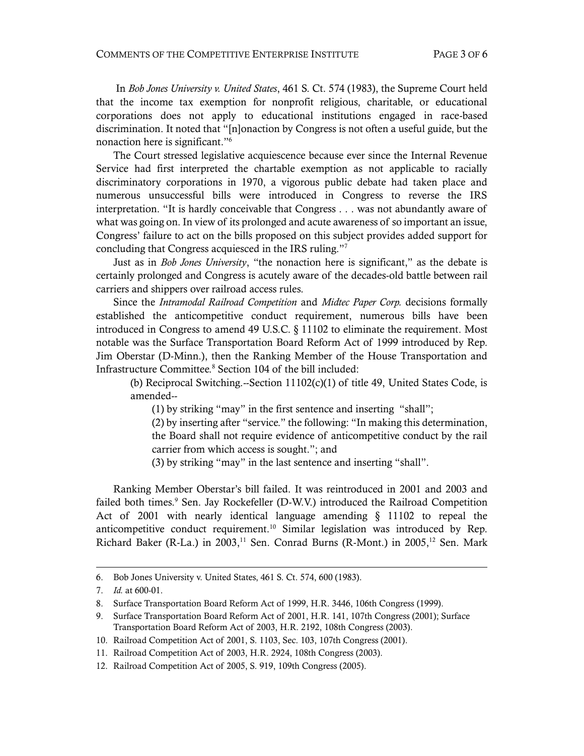In *Bob Jones University v. United States*, 461 S. Ct. 574 (1983), the Supreme Court held that the income tax exemption for nonprofit religious, charitable, or educational corporations does not apply to educational institutions engaged in race-based discrimination. It noted that "[n]onaction by Congress is not often a useful guide, but the nonaction here is significant." 6

The Court stressed legislative acquiescence because ever since the Internal Revenue Service had first interpreted the chartable exemption as not applicable to racially discriminatory corporations in 1970, a vigorous public debate had taken place and numerous unsuccessful bills were introduced in Congress to reverse the IRS interpretation. "It is hardly conceivable that Congress . . . was not abundantly aware of what was going on. In view of its prolonged and acute awareness of so important an issue, Congress' failure to act on the bills proposed on this subject provides added support for concluding that Congress acquiesced in the IRS ruling." 7

Just as in *Bob Jones University*, "the nonaction here is significant," as the debate is certainly prolonged and Congress is acutely aware of the decades-old battle between rail carriers and shippers over railroad access rules.

Since the *Intramodal Railroad Competition* and *Midtec Paper Corp.* decisions formally established the anticompetitive conduct requirement, numerous bills have been introduced in Congress to amend 49 U.S.C. § 11102 to eliminate the requirement. Most notable was the Surface Transportation Board Reform Act of 1999 introduced by Rep. Jim Oberstar (D-Minn.), then the Ranking Member of the House Transportation and Infrastructure Committee.<sup>8</sup> Section 104 of the bill included:

(b) Reciprocal Switching.--Section 11102(c)(1) of title 49, United States Code, is amended--

(1) by striking "may" in the first sentence and inserting "shall";

(2) by inserting after "service." the following: "In making this determination, the Board shall not require evidence of anticompetitive conduct by the rail carrier from which access is sought."; and

(3) by striking "may" in the last sentence and inserting "shall".

Ranking Member Oberstar's bill failed. It was reintroduced in 2001 and 2003 and failed both times.<sup>9</sup> Sen. Jay Rockefeller (D-W.V.) introduced the Railroad Competition Act of 2001 with nearly identical language amending § 11102 to repeal the anticompetitive conduct requirement.<sup>10</sup> Similar legislation was introduced by Rep. Richard Baker (R-La.) in 2003,<sup>11</sup> Sen. Conrad Burns (R-Mont.) in 2005,<sup>12</sup> Sen. Mark

1

<sup>6.</sup> Bob Jones University v. United States, 461 S. Ct. 574, 600 (1983).

<sup>7.</sup> *Id.* at 600-01.

<sup>8.</sup> Surface Transportation Board Reform Act of 1999, H.R. 3446, 106th Congress (1999).

<sup>9.</sup> Surface Transportation Board Reform Act of 2001, H.R. 141, 107th Congress (2001); Surface Transportation Board Reform Act of 2003, H.R. 2192, 108th Congress (2003).

<sup>10.</sup> Railroad Competition Act of 2001, S. 1103, Sec. 103, 107th Congress (2001).

<sup>11.</sup> Railroad Competition Act of 2003, H.R. 2924, 108th Congress (2003).

<sup>12.</sup> Railroad Competition Act of 2005, S. 919, 109th Congress (2005).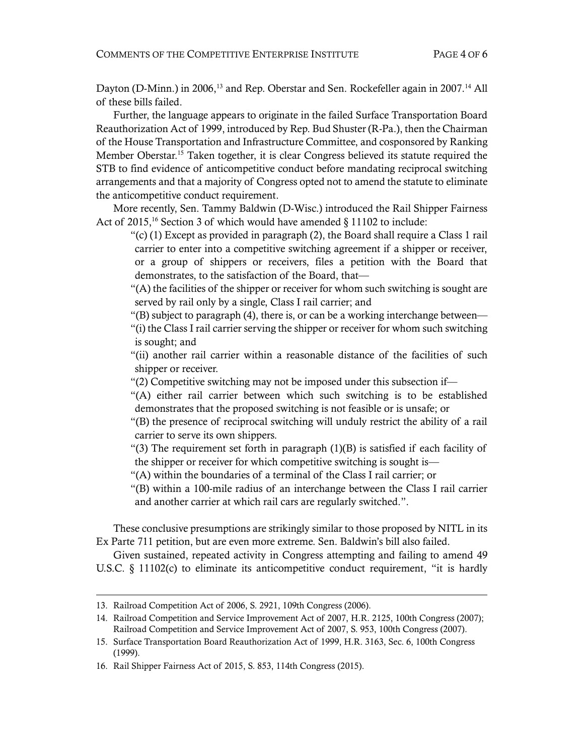Dayton (D-Minn.) in 2006,<sup>13</sup> and Rep. Oberstar and Sen. Rockefeller again in 2007.<sup>14</sup> All of these bills failed.

Further, the language appears to originate in the failed Surface Transportation Board Reauthorization Act of 1999, introduced by Rep. Bud Shuster (R-Pa.), then the Chairman of the House Transportation and Infrastructure Committee, and cosponsored by Ranking Member Oberstar.<sup>15</sup> Taken together, it is clear Congress believed its statute required the STB to find evidence of anticompetitive conduct before mandating reciprocal switching arrangements and that a majority of Congress opted not to amend the statute to eliminate the anticompetitive conduct requirement.

More recently, Sen. Tammy Baldwin (D-Wisc.) introduced the Rail Shipper Fairness Act of 2015,<sup>16</sup> Section 3 of which would have amended § 11102 to include:

"(c)  $(1)$  Except as provided in paragraph  $(2)$ , the Board shall require a Class 1 rail carrier to enter into a competitive switching agreement if a shipper or receiver, or a group of shippers or receivers, files a petition with the Board that demonstrates, to the satisfaction of the Board, that—

"(A) the facilities of the shipper or receiver for whom such switching is sought are served by rail only by a single, Class I rail carrier; and

"(B) subject to paragraph (4), there is, or can be a working interchange between—

"(i) the Class I rail carrier serving the shipper or receiver for whom such switching is sought; and

"(ii) another rail carrier within a reasonable distance of the facilities of such shipper or receiver.

"(2) Competitive switching may not be imposed under this subsection if—

"(A) either rail carrier between which such switching is to be established demonstrates that the proposed switching is not feasible or is unsafe; or

"(B) the presence of reciprocal switching will unduly restrict the ability of a rail carrier to serve its own shippers.

"(3) The requirement set forth in paragraph (1)(B) is satisfied if each facility of the shipper or receiver for which competitive switching is sought is—

"(A) within the boundaries of a terminal of the Class I rail carrier; or

"(B) within a 100-mile radius of an interchange between the Class I rail carrier and another carrier at which rail cars are regularly switched.".

These conclusive presumptions are strikingly similar to those proposed by NITL in its Ex Parte 711 petition, but are even more extreme. Sen. Baldwin's bill also failed.

Given sustained, repeated activity in Congress attempting and failing to amend 49 U.S.C.  $\S$  11102(c) to eliminate its anticompetitive conduct requirement, "it is hardly

1

<sup>13.</sup> Railroad Competition Act of 2006, S. 2921, 109th Congress (2006).

<sup>14.</sup> Railroad Competition and Service Improvement Act of 2007, H.R. 2125, 100th Congress (2007); Railroad Competition and Service Improvement Act of 2007, S. 953, 100th Congress (2007).

<sup>15.</sup> Surface Transportation Board Reauthorization Act of 1999, H.R. 3163, Sec. 6, 100th Congress (1999).

<sup>16.</sup> Rail Shipper Fairness Act of 2015, S. 853, 114th Congress (2015).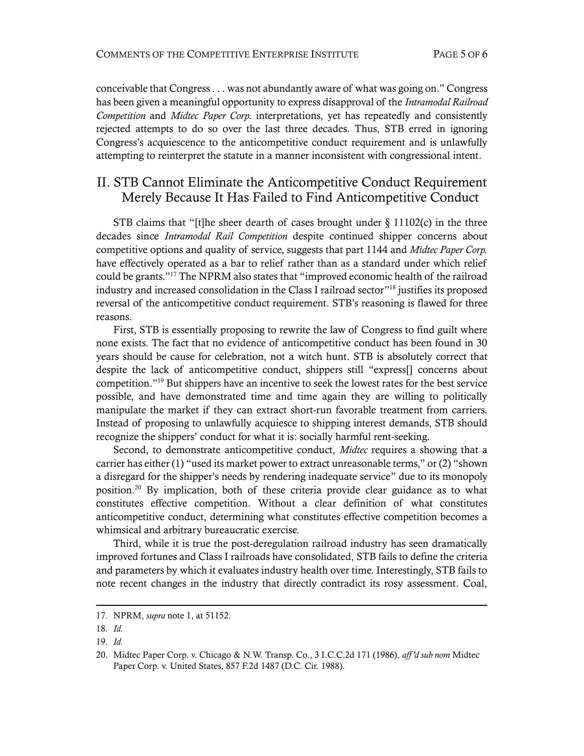conceivable that Congress . . . was not abundantly aware of what was going on." Congress has been given a meaningful opportunity to express disapproval of the *Intramodal Railroad Competition* and *Midtec Paper Corp.* interpretations, yet has repeatedly and consistently rejected attempts to do so over the last three decades. Thus, STB erred in ignoring Congress's acquiescence to the anticompetitive conduct requirement and is unlawfully attempting to reinterpret the statute in a manner inconsistent with congressional intent.

#### II. STB Cannot Eliminate the Anticompetitive Conduct Requirement Merely Because It Has Failed to Find Anticompetitive Conduct

STB claims that "[t]he sheer dearth of cases brought under  $\S 11102(c)$  in the three decades since *Intramodal Rail Competition* despite continued shipper concerns about competitive options and quality of service, suggests that part 1144 and *Midtec Paper Corp.* have effectively operated as a bar to relief rather than as a standard under which relief could be grants." <sup>17</sup> The NPRM also states that "improved economic health of the railroad industry and increased consolidation in the Class I railroad sector" <sup>18</sup> justifies its proposed reversal of the anticompetitive conduct requirement. STB's reasoning is flawed for three reasons.

First, STB is essentially proposing to rewrite the law of Congress to find guilt where none exists. The fact that no evidence of anticompetitive conduct has been found in 30 years should be cause for celebration, not a witch hunt. STB is absolutely correct that despite the lack of anticompetitive conduct, shippers still "express[] concerns about competition." <sup>19</sup> But shippers have an incentive to seek the lowest rates for the best service possible, and have demonstrated time and time again they are willing to politically manipulate the market if they can extract short-run favorable treatment from carriers. Instead of proposing to unlawfully acquiesce to shipping interest demands, STB should recognize the shippers' conduct for what it is: socially harmful rent-seeking.

Second, to demonstrate anticompetitive conduct, *Midtec* requires a showing that a carrier has either (1) "used its market power to extract unreasonable terms," or (2) "shown a disregard for the shipper's needs by rendering inadequate service" due to its monopoly position.<sup>20</sup> By implication, both of these criteria provide clear guidance as to what constitutes effective competition. Without a clear definition of what constitutes anticompetitive conduct, determining what constitutes effective competition becomes a whimsical and arbitrary bureaucratic exercise.

Third, while it is true the post-deregulation railroad industry has seen dramatically improved fortunes and Class I railroads have consolidated, STB fails to define the criteria and parameters by which it evaluates industry health over time. Interestingly, STB fails to note recent changes in the industry that directly contradict its rosy assessment. Coal,

-

<sup>17.</sup> NPRM, *supra* not[e 1,](#page-1-0) at 51152.

<sup>18.</sup> *Id.*

<sup>19.</sup> *Id.*

<sup>20.</sup> Midtec Paper Corp. v. Chicago & N.W. Transp. Co., 3 I.C.C.2d 171 (1986), *aff 'd sub nom* Midtec Paper Corp. v. United States, 857 F.2d 1487 (D.C. Cir. 1988).